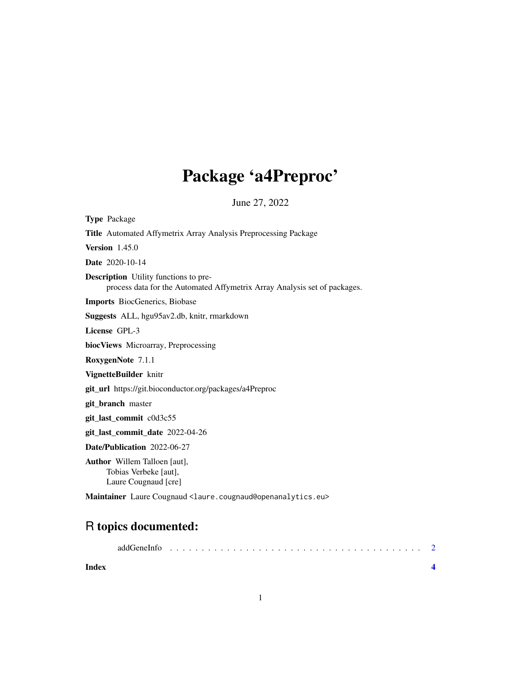# Package 'a4Preproc'

June 27, 2022

Type Package Title Automated Affymetrix Array Analysis Preprocessing Package Version 1.45.0 Date 2020-10-14 Description Utility functions to preprocess data for the Automated Affymetrix Array Analysis set of packages. Imports BiocGenerics, Biobase Suggests ALL, hgu95av2.db, knitr, rmarkdown License GPL-3 biocViews Microarray, Preprocessing RoxygenNote 7.1.1 VignetteBuilder knitr git\_url https://git.bioconductor.org/packages/a4Preproc git\_branch master git\_last\_commit c0d3c55 git\_last\_commit\_date 2022-04-26 Date/Publication 2022-06-27 Author Willem Talloen [aut], Tobias Verbeke [aut], Laure Cougnaud [cre]

Maintainer Laure Cougnaud <laure.cougnaud@openanalytics.eu>

## R topics documented:

| Index |  |  |  |  |  |  |  |  |  |  |  |  |  |  |  |
|-------|--|--|--|--|--|--|--|--|--|--|--|--|--|--|--|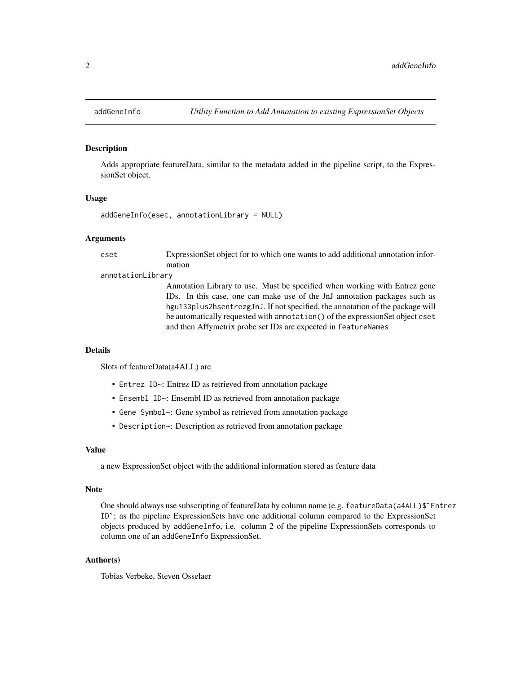<span id="page-1-0"></span>

#### Description

Adds appropriate featureData, similar to the metadata added in the pipeline script, to the ExpressionSet object.

#### Usage

```
addGeneInfo(eset, annotationLibrary = NULL)
```
#### Arguments

eset ExpressionSet object for to which one wants to add additional annotation information

annotationLibrary

Annotation Library to use. Must be specified when working with Entrez gene IDs. In this case, one can make use of the JnJ annotation packages such as hgu133plus2hsentrezgJnJ. If not specified, the annotation of the package will be automatically requested with annotation() of the expressionSet object eset and then Affymetrix probe set IDs are expected in featureNames

#### Details

Slots of featureData(a4ALL) are

- Entrez ID~: Entrez ID as retrieved from annotation package
- Ensembl ID~: Ensembl ID as retrieved from annotation package
- Gene Symbol~: Gene symbol as retrieved from annotation package
- Description~: Description as retrieved from annotation package

#### Value

a new ExpressionSet object with the additional information stored as feature data

#### **Note**

One should always use subscripting of featureData by column name (e.g. featureData(a4ALL)\$`Entrez )<br>One should always use subscripting of featureData by column name (e.g. featureData(a4ALL)\$`E<br>ID`; as the pipeline ExpressionSets have one additional column compared to the ExpressionSet objects produced by addGeneInfo, i.e. column 2 of the pipeline ExpressionSets corresponds to column one of an addGeneInfo ExpressionSet.

#### Author(s)

Tobias Verbeke, Steven Osselaer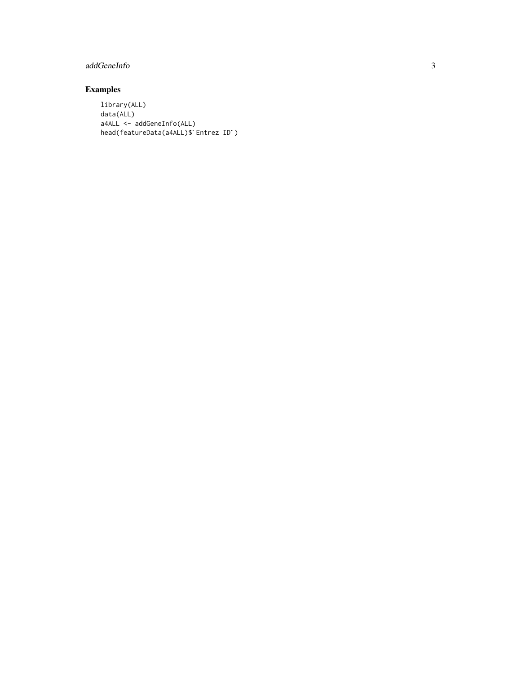#### addGeneInfo

### Examples

```
library(ALL)
data(ALL)
a4ALL <- addGeneInfo(ALL)
head(featureData(a4ALL)$
Entrez ID

)
```